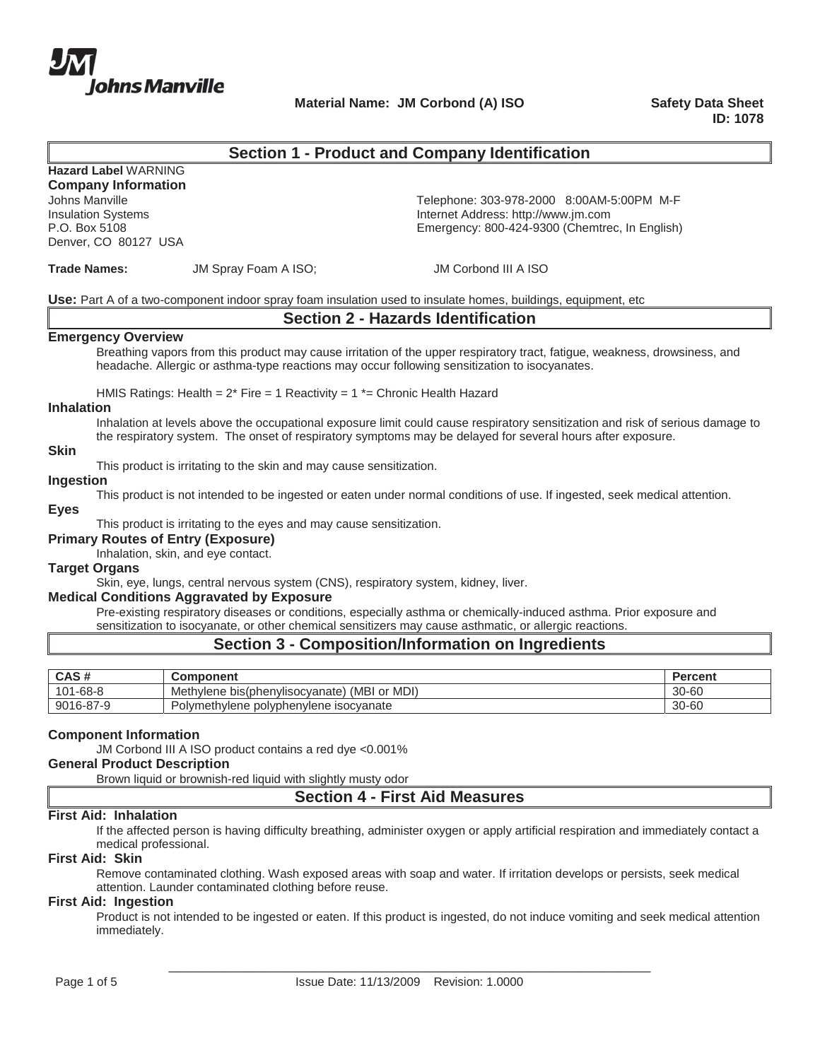

Material Name: JM Corbond (A) ISO **Safety Data Sheet** 

# **Section 1 - Product and Company Identification**

**Hazard Label** WARNING **Company Information**

Denver, CO 80127 USA

Johns Manville **Telephone: 303-978-2000 8:00AM-5:00PM M-F** Insulation Systems Internet Address: http://www.jm.com Emergency: 800-424-9300 (Chemtrec, In English)

**Trade Names: JM Spray Foam A ISO; <b>JM** Corbond III A ISO

**Use:** Part A of a two-component indoor spray foam insulation used to insulate homes, buildings, equipment, etc

# **Section 2 - Hazards Identification**

#### **Emergency Overview**

Breathing vapors from this product may cause irritation of the upper respiratory tract, fatigue, weakness, drowsiness, and headache. Allergic or asthma-type reactions may occur following sensitization to isocyanates.

HMIS Ratings: Health =  $2*$  Fire = 1 Reactivity =  $1*$  = Chronic Health Hazard

### **Inhalation**

Inhalation at levels above the occupational exposure limit could cause respiratory sensitization and risk of serious damage to the respiratory system. The onset of respiratory symptoms may be delayed for several hours after exposure.

### **Skin**

This product is irritating to the skin and may cause sensitization.

### **Ingestion**

This product is not intended to be ingested or eaten under normal conditions of use. If ingested, seek medical attention.

### **Eyes**

This product is irritating to the eyes and may cause sensitization.

### **Primary Routes of Entry (Exposure)**

Inhalation, skin, and eye contact.

#### **Target Organs**

Skin, eye, lungs, central nervous system (CNS), respiratory system, kidney, liver.

### **Medical Conditions Aggravated by Exposure**

Pre-existing respiratory diseases or conditions, especially asthma or chemically-induced asthma. Prior exposure and sensitization to isocyanate, or other chemical sensitizers may cause asthmatic, or allergic reactions.

# **Section 3 - Composition/Information on Ingredients**

| CAS#                            | Component                                                | Percent   |
|---------------------------------|----------------------------------------------------------|-----------|
| $1 - 68 - 8$<br>1 <sub>01</sub> | MDI)<br>(MBI<br>Methylene<br>or<br>bis(phenvlisocvanate) | $30 - 60$ |
| 9016-87-9                       | Polymethylene polyphenylene isocyanate                   | 30-60     |

### **Component Information**

JM Corbond III A ISO product contains a red dye <0.001%

### **General Product Description**

Brown liquid or brownish-red liquid with slightly musty odor

# **Section 4 - First Aid Measures**

### **First Aid: Inhalation**

If the affected person is having difficulty breathing, administer oxygen or apply artificial respiration and immediately contact a medical professional.

### **First Aid: Skin**

Remove contaminated clothing. Wash exposed areas with soap and water. If irritation develops or persists, seek medical attention. Launder contaminated clothing before reuse.

#### **First Aid: Ingestion**

Product is not intended to be ingested or eaten. If this product is ingested, do not induce vomiting and seek medical attention immediately.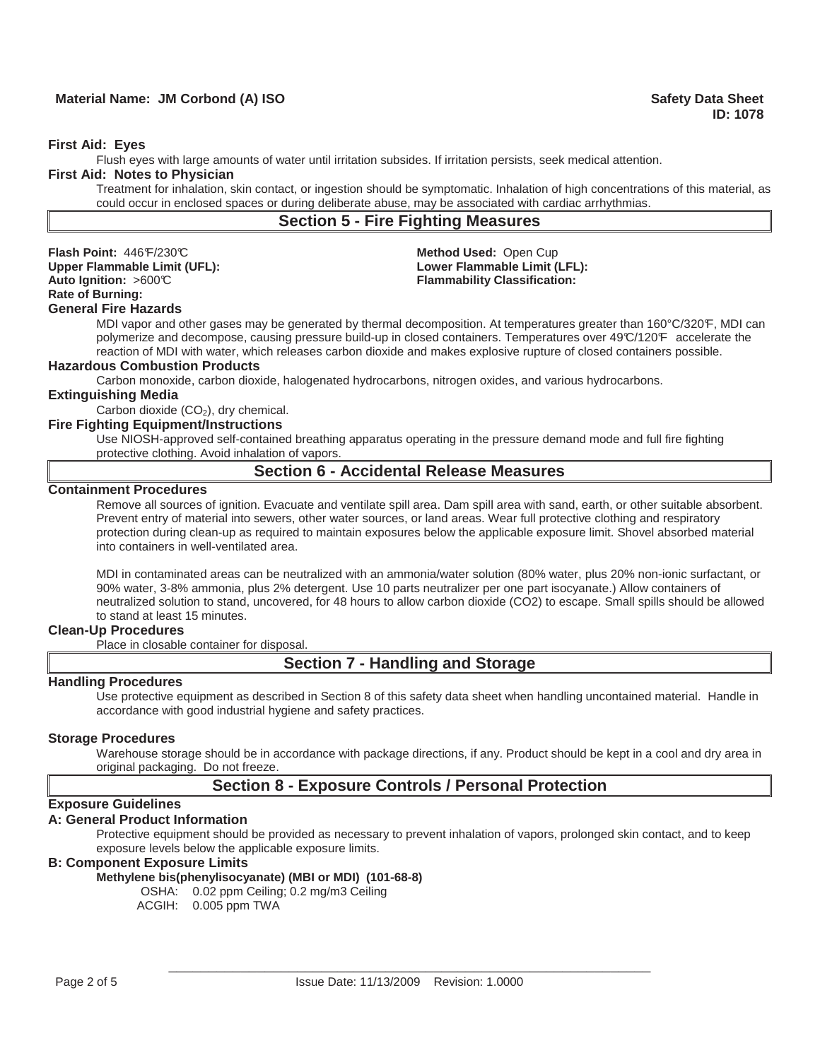# **Material Name: JM Corbond (A) ISO Safety Data Sheet All Accords Accord Control of Accord Control of Accords Accords**

### **First Aid: Eyes**

Flush eyes with large amounts of water until irritation subsides. If irritation persists, seek medical attention.

### **First Aid: Notes to Physician**

Treatment for inhalation, skin contact, or ingestion should be symptomatic. Inhalation of high concentrations of this material, as could occur in enclosed spaces or during deliberate abuse, may be associated with cardiac arrhythmias.

# **Section 5 - Fire Fighting Measures**

**Flash Point:** 446°F/230°C **Method Used:** Open Cup Upper Flammable Limit (UFL):<br>
Auto Ignition: >600°C **Cammable Community Classification:**<br>
Flammability Classification: **Rate of Burning: General Fire Hazards**

**Flammability Classification:** 

MDI vapor and other gases may be generated by thermal decomposition. At temperatures greater than 160°C/320°F, MDI can polymerize and decompose, causing pressure build-up in closed containers. Temperatures over 49°C/120°F accelerate the reaction of MDI with water, which releases carbon dioxide and makes explosive rupture of closed containers possible.

### **Hazardous Combustion Products**

Carbon monoxide, carbon dioxide, halogenated hydrocarbons, nitrogen oxides, and various hydrocarbons.

#### **Extinguishing Media**

Carbon dioxide  $(CO<sub>2</sub>)$ , dry chemical.

### **Fire Fighting Equipment/Instructions**

Use NIOSH-approved self-contained breathing apparatus operating in the pressure demand mode and full fire fighting protective clothing. Avoid inhalation of vapors.

# **Section 6 - Accidental Release Measures**

#### **Containment Procedures**

Remove all sources of ignition. Evacuate and ventilate spill area. Dam spill area with sand, earth, or other suitable absorbent. Prevent entry of material into sewers, other water sources, or land areas. Wear full protective clothing and respiratory protection during clean-up as required to maintain exposures below the applicable exposure limit. Shovel absorbed material into containers in well-ventilated area.

MDI in contaminated areas can be neutralized with an ammonia/water solution (80% water, plus 20% non-ionic surfactant, or 90% water, 3-8% ammonia, plus 2% detergent. Use 10 parts neutralizer per one part isocyanate.) Allow containers of neutralized solution to stand, uncovered, for 48 hours to allow carbon dioxide (CO2) to escape. Small spills should be allowed to stand at least 15 minutes.

#### **Clean-Up Procedures**

Place in closable container for disposal.

# **Section 7 - Handling and Storage**

### **Handling Procedures**

Use protective equipment as described in Section 8 of this safety data sheet when handling uncontained material. Handle in accordance with good industrial hygiene and safety practices.

#### **Storage Procedures**

Warehouse storage should be in accordance with package directions, if any. Product should be kept in a cool and dry area in original packaging. Do not freeze.

# **Section 8 - Exposure Controls / Personal Protection**

### **Exposure Guidelines**

#### **A: General Product Information**

Protective equipment should be provided as necessary to prevent inhalation of vapors, prolonged skin contact, and to keep exposure levels below the applicable exposure limits.

### **B: Component Exposure Limits**

# **Methylene bis(phenylisocyanate) (MBI or MDI) (101-68-8)**

OSHA: 0.02 ppm Ceiling; 0.2 mg/m3 Ceiling

ACGIH: 0.005 ppm TWA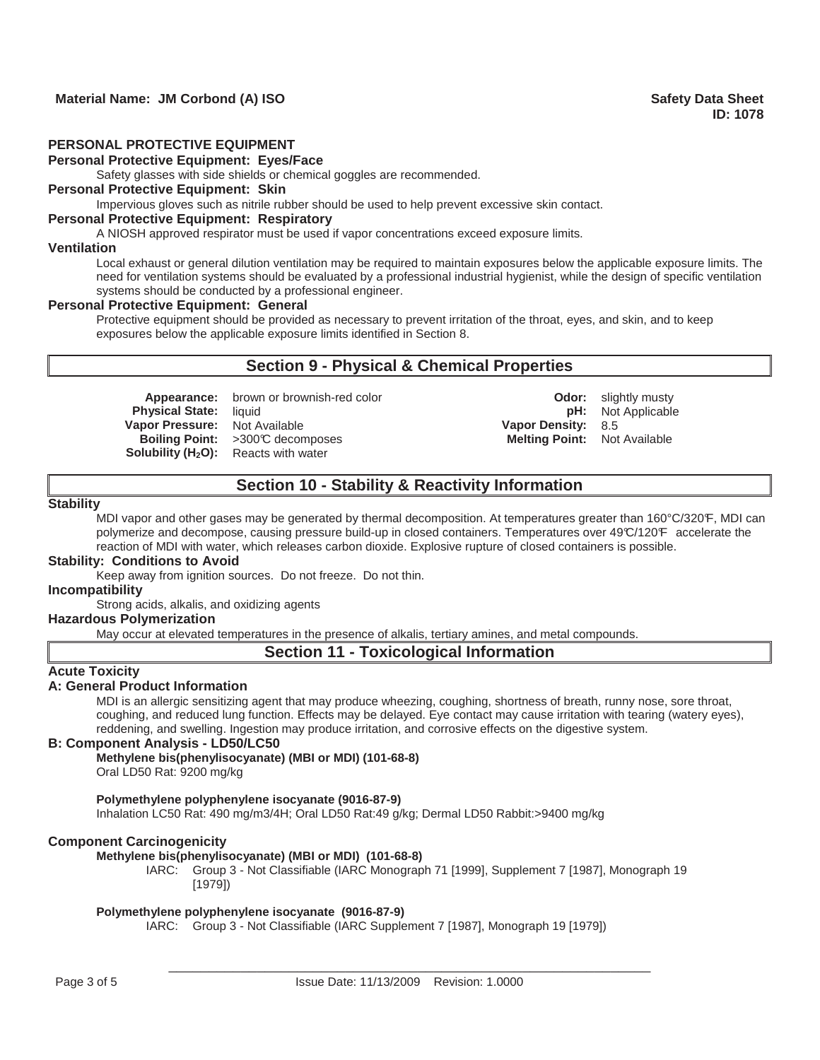# **PERSONAL PROTECTIVE EQUIPMENT**

### **Personal Protective Equipment: Eyes/Face**

Safety glasses with side shields or chemical goggles are recommended.

# **Personal Protective Equipment: Skin**

Impervious gloves such as nitrile rubber should be used to help prevent excessive skin contact.

# **Personal Protective Equipment: Respiratory**

A NIOSH approved respirator must be used if vapor concentrations exceed exposure limits.

# **Ventilation**

Local exhaust or general dilution ventilation may be required to maintain exposures below the applicable exposure limits. The need for ventilation systems should be evaluated by a professional industrial hygienist, while the design of specific ventilation systems should be conducted by a professional engineer.

#### **Personal Protective Equipment: General**

Protective equipment should be provided as necessary to prevent irritation of the throat, eyes, and skin, and to keep exposures below the applicable exposure limits identified in Section 8.

# **Section 9 - Physical & Chemical Properties**

**Appearance:** brown or brownish-red color **Color 1999 Odor:** slightly musty<br> **Physical State:** liquid **Physical State:** liquid **Vapor Pressure:** Not Available **Vapor Density:** 8.5 **Boiling Point:** >300℃ decomposes **Melting Point:** Not Available **Solubility (H<sub>2</sub>O):** Reacts with water

**Physical State: Physical State: Physical State: Physical State: Physical State: Physical State: Physical State: Physical State: Physical State: Physical State: Physical State: Physical State: Physical State: Physical Stat** 

# **Section 10 - Stability & Reactivity Information**

#### **Stability**

MDI vapor and other gases may be generated by thermal decomposition. At temperatures greater than 160°C/320°F, MDI can polymerize and decompose, causing pressure build-up in closed containers. Temperatures over 49°C/120°F accelerate the reaction of MDI with water, which releases carbon dioxide. Explosive rupture of closed containers is possible.

#### **Stability: Conditions to Avoid**

Keep away from ignition sources. Do not freeze. Do not thin.

#### **Incompatibility**

Strong acids, alkalis, and oxidizing agents

## **Hazardous Polymerization**

May occur at elevated temperatures in the presence of alkalis, tertiary amines, and metal compounds.

### **Section 11 - Toxicological Information**

### **Acute Toxicity**

## **A: General Product Information**

MDI is an allergic sensitizing agent that may produce wheezing, coughing, shortness of breath, runny nose, sore throat, coughing, and reduced lung function. Effects may be delayed. Eye contact may cause irritation with tearing (watery eyes), reddening, and swelling. Ingestion may produce irritation, and corrosive effects on the digestive system.

### **B: Component Analysis - LD50/LC50**

**Methylene bis(phenylisocyanate) (MBI or MDI) (101-68-8)**

Oral LD50 Rat: 9200 mg/kg

#### **Polymethylene polyphenylene isocyanate (9016-87-9)**

Inhalation LC50 Rat: 490 mg/m3/4H; Oral LD50 Rat:49 g/kg; Dermal LD50 Rabbit:>9400 mg/kg

### **Component Carcinogenicity**

#### **Methylene bis(phenylisocyanate) (MBI or MDI) (101-68-8)**

IARC: Group 3 - Not Classifiable (IARC Monograph 71 [1999], Supplement 7 [1987], Monograph 19 [1979])

### **Polymethylene polyphenylene isocyanate (9016-87-9)**

IARC: Group 3 - Not Classifiable (IARC Supplement 7 [1987], Monograph 19 [1979])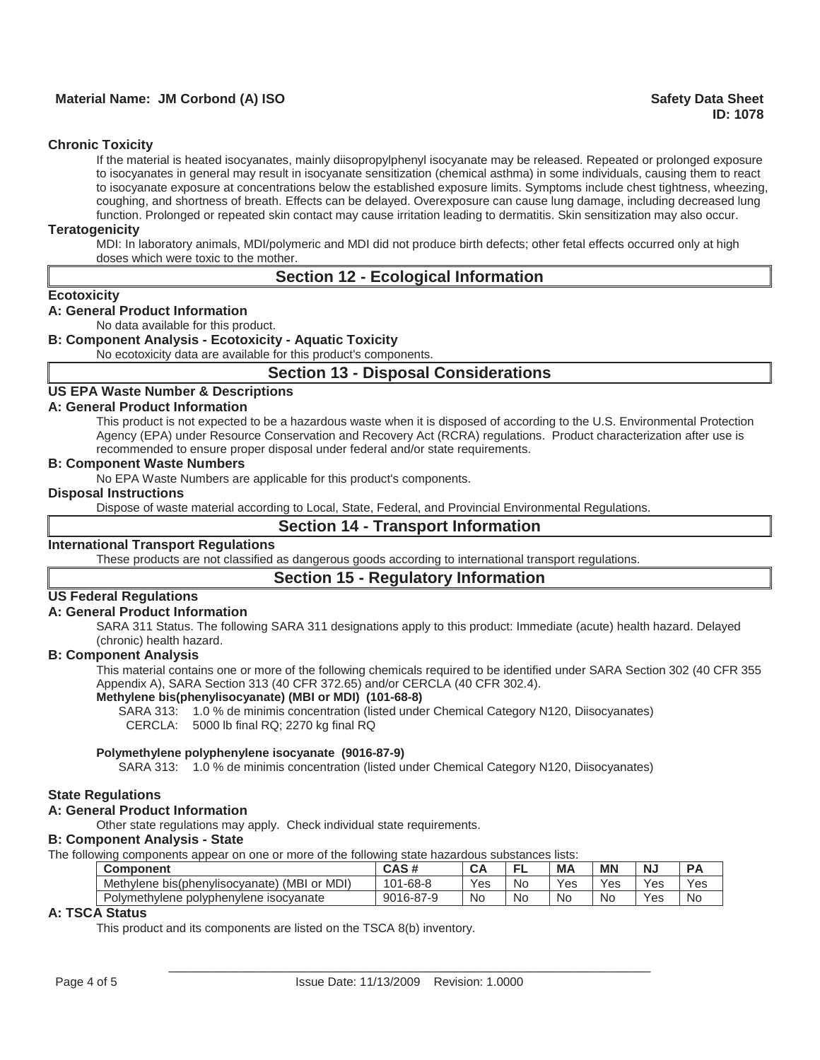# **Material Name: JM Corbond (A) ISO Safety Data Sheet All Accords Accord Control of Accord Safety Data Sheet**

### **Chronic Toxicity**

If the material is heated isocyanates, mainly diisopropylphenyl isocyanate may be released. Repeated or prolonged exposure to isocyanates in general may result in isocyanate sensitization (chemical asthma) in some individuals, causing them to react to isocyanate exposure at concentrations below the established exposure limits. Symptoms include chest tightness, wheezing, coughing, and shortness of breath. Effects can be delayed. Overexposure can cause lung damage, including decreased lung function. Prolonged or repeated skin contact may cause irritation leading to dermatitis. Skin sensitization may also occur.

### **Teratogenicity**

MDI: In laboratory animals, MDI/polymeric and MDI did not produce birth defects; other fetal effects occurred only at high doses which were toxic to the mother.

# **Section 12 - Ecological Information**

#### **Ecotoxicity**

### **A: General Product Information**

No data available for this product.

## **B: Component Analysis - Ecotoxicity - Aquatic Toxicity**

No ecotoxicity data are available for this product's components.

## **Section 13 - Disposal Considerations**

# **US EPA Waste Number & Descriptions**

### **A: General Product Information**

This product is not expected to be a hazardous waste when it is disposed of according to the U.S. Environmental Protection Agency (EPA) under Resource Conservation and Recovery Act (RCRA) regulations. Product characterization after use is recommended to ensure proper disposal under federal and/or state requirements.

### **B: Component Waste Numbers**

No EPA Waste Numbers are applicable for this product's components.

### **Disposal Instructions**

Dispose of waste material according to Local, State, Federal, and Provincial Environmental Regulations.

### **Section 14 - Transport Information**

### **International Transport Regulations**

These products are not classified as dangerous goods according to international transport regulations.

# **Section 15 - Regulatory Information**

### **US Federal Regulations**

### **A: General Product Information**

SARA 311 Status. The following SARA 311 designations apply to this product: Immediate (acute) health hazard. Delayed (chronic) health hazard.

## **B: Component Analysis**

This material contains one or more of the following chemicals required to be identified under SARA Section 302 (40 CFR 355 Appendix A), SARA Section 313 (40 CFR 372.65) and/or CERCLA (40 CFR 302.4).

### **Methylene bis(phenylisocyanate) (MBI or MDI) (101-68-8)**

SARA 313: 1.0 % de minimis concentration (listed under Chemical Category N120, Diisocyanates) CERCLA: 5000 lb final RQ; 2270 kg final RQ

#### **Polymethylene polyphenylene isocyanate (9016-87-9)**

SARA 313: 1.0 % de minimis concentration (listed under Chemical Category N120, Diisocyanates)

#### **State Regulations**

### **A: General Product Information**

Other state regulations may apply. Check individual state requirements.

### **B: Component Analysis - State**

The following components appear on one or more of the following state hazardous substances lists:

| Component                                             | CAS#          | <b>CA</b> |     | <b>MA</b> | <b>MN</b> | N.  |     |
|-------------------------------------------------------|---------------|-----------|-----|-----------|-----------|-----|-----|
| MDI)<br>(MBI<br>Methylene bis(phenylisocyanate)<br>or | i-68-8<br>101 | Yes       | No. | Yes       | Yes       | Yes | Yes |
| Polymethylene<br>polyphenylene isocyanate             | 9016-87-9     | <b>No</b> | No  | No        | No        | Yes | No  |

### **A: TSCA Status**

This product and its components are listed on the TSCA 8(b) inventory.